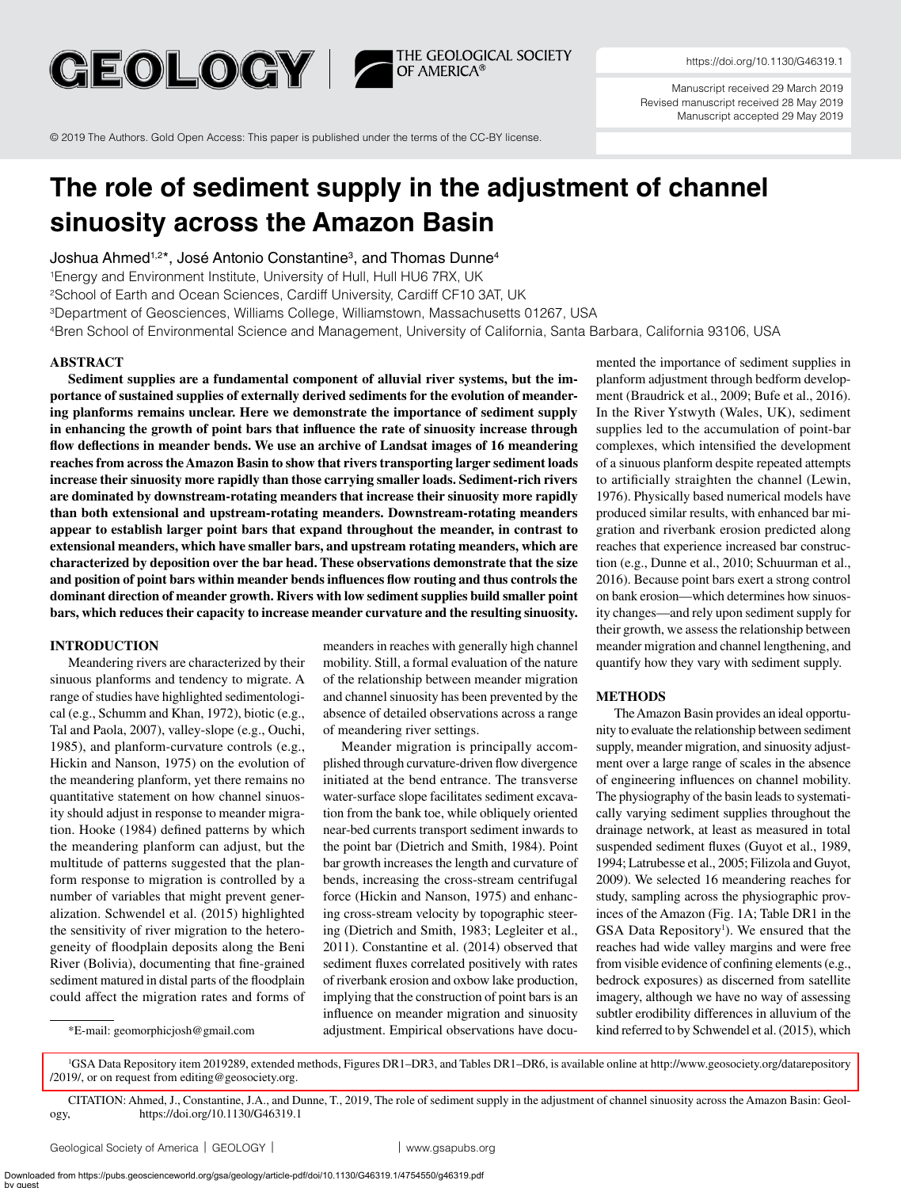GEOLOGY | THE GEOLOGICAL SOCIETY

<https://doi.org/10.1130/G46319.1>

Manuscript received 29 March 2019 Revised manuscript received 28 May 2019 Manuscript accepted 29 May 2019

© 2019 The Authors. Gold Open Access: This paper is published under the terms of the CC-BY license.

# **The role of sediment supply in the adjustment of channel sinuosity across the Amazon Basin**

Joshua Ahmed<sup>1,2\*</sup>, José Antonio Constantine<sup>3</sup>, and Thomas Dunne<sup>4</sup>

1Energy and Environment Institute, University of Hull, Hull HU6 7RX, UK

<sup>2</sup>School of Earth and Ocean Sciences, Cardiff University, Cardiff CF10 3AT, UK

3Department of Geosciences, Williams College, Williamstown, Massachusetts 01267, USA

4Bren School of Environmental Science and Management, University of California, Santa Barbara, California 93106, USA

### **ABSTRACT**

**Sediment supplies are a fundamental component of alluvial river systems, but the importance of sustained supplies of externally derived sediments for the evolution of meandering planforms remains unclear. Here we demonstrate the importance of sediment supply in enhancing the growth of point bars that influence the rate of sinuosity increase through flow deflections in meander bends. We use an archive of Landsat images of 16 meandering reaches from across the Amazon Basin to show that rivers transporting larger sediment loads increase their sinuosity more rapidly than those carrying smaller loads. Sediment-rich rivers are dominated by downstream-rotating meanders that increase their sinuosity more rapidly than both extensional and upstream-rotating meanders. Downstream-rotating meanders appear to establish larger point bars that expand throughout the meander, in contrast to extensional meanders, which have smaller bars, and upstream rotating meanders, which are characterized by deposition over the bar head. These observations demonstrate that the size and position of point bars within meander bends influences flow routing and thus controls the dominant direction of meander growth. Rivers with low sediment supplies build smaller point bars, which reduces their capacity to increase meander curvature and the resulting sinuosity.**

## **INTRODUCTION**

Meandering rivers are characterized by their sinuous planforms and tendency to migrate. A range of studies have highlighted sedimentological (e.g., Schumm and Khan, 1972), biotic (e.g., Tal and Paola, 2007), valley-slope (e.g., Ouchi, 1985), and planform-curvature controls (e.g., Hickin and Nanson, 1975) on the evolution of the meandering planform, yet there remains no quantitative statement on how channel sinuosity should adjust in response to meander migration. Hooke (1984) defined patterns by which the meandering planform can adjust, but the multitude of patterns suggested that the planform response to migration is controlled by a number of variables that might prevent generalization. Schwendel et al. (2015) highlighted the sensitivity of river migration to the heterogeneity of floodplain deposits along the Beni River (Bolivia), documenting that fine-grained sediment matured in distal parts of the floodplain could affect the migration rates and forms of

\*E-mail: [geomorphicjosh@gmail.com](mailto:geomorphicjosh%40gmail.com?subject=)

meanders in reaches with generally high channel mobility. Still, a formal evaluation of the nature of the relationship between meander migration and channel sinuosity has been prevented by the absence of detailed observations across a range of meandering river settings.

Meander migration is principally accomplished through curvature-driven flow divergence initiated at the bend entrance. The transverse water-surface slope facilitates sediment excavation from the bank toe, while obliquely oriented near-bed currents transport sediment inwards to the point bar (Dietrich and Smith, 1984). Point bar growth increases the length and curvature of bends, increasing the cross-stream centrifugal force (Hickin and Nanson, 1975) and enhancing cross-stream velocity by topographic steering (Dietrich and Smith, 1983; Legleiter et al., 2011). Constantine et al. (2014) observed that sediment fluxes correlated positively with rates of riverbank erosion and oxbow lake production, implying that the construction of point bars is an influence on meander migration and sinuosity adjustment. Empirical observations have docu-

mented the importance of sediment supplies in planform adjustment through bedform development (Braudrick et al., 2009; Bufe et al., 2016). In the River Ystwyth (Wales, UK), sediment supplies led to the accumulation of point-bar complexes, which intensified the development of a sinuous planform despite repeated attempts to artificially straighten the channel (Lewin, 1976). Physically based numerical models have produced similar results, with enhanced bar migration and riverbank erosion predicted along reaches that experience increased bar construction (e.g., Dunne et al., 2010; Schuurman et al., 2016). Because point bars exert a strong control on bank erosion—which determines how sinuosity changes—and rely upon sediment supply for their growth, we assess the relationship between meander migration and channel lengthening, and quantify how they vary with sediment supply.

#### **METHODS**

The Amazon Basin provides an ideal opportunity to evaluate the relationship between sediment supply, meander migration, and sinuosity adjustment over a large range of scales in the absence of engineering influences on channel mobility. The physiography of the basin leads to systematically varying sediment supplies throughout the drainage network, at least as measured in total suspended sediment fluxes (Guyot et al., 1989, 1994; Latrubesse et al., 2005; Filizola and Guyot, 2009). We selected 16 meandering reaches for study, sampling across the physiographic provinces of the Amazon (Fig. 1A; Table DR1 in the GSA Data Repository<sup>1</sup>). We ensured that the reaches had wide valley margins and were free from visible evidence of confining elements (e.g., bedrock exposures) as discerned from satellite imagery, although we have no way of assessing subtler erodibility differences in alluvium of the kind referred to by Schwendel et al. (2015), which

1 [GSA Data Repository item 2019289, extended methods, Figures DR1–DR3, and Tables DR1–DR6, is available online at http://www.geosociety.org/datarepository](http://www.geosociety.org/datarepository/2019/) /2019/, or on request from editing@geosociety.org.

CITATION: Ahmed, J., Constantine, J.A., and Dunne, T., 2019, The role of sediment supply in the adjustment of channel sinuosity across the Amazon Basin: Geology, <https://doi.org/10.1130/G46319.1>

[Geological Society of America](http://www.geosociety.org) | GEOLOGY | vww.gsapubs.org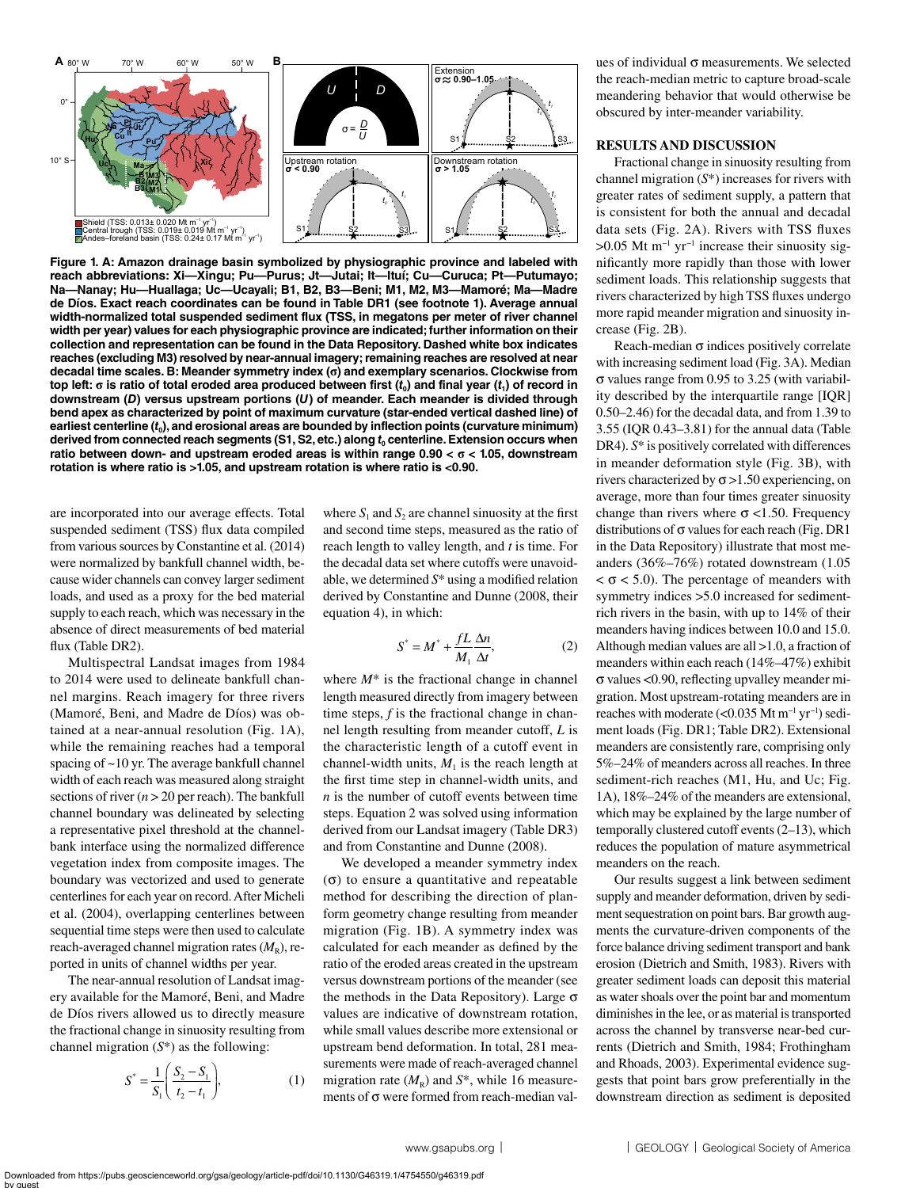

**Figure 1. A: Amazon drainage basin symbolized by physiographic province and labeled with reach abbreviations: Xi—Xingu; Pu—Purus; Jt—Jutai; It—Ituí; Cu—Curuca; Pt—Putumayo; Na—Nanay; Hu—Huallaga; Uc—Ucayali; B1, B2, B3—Beni; M1, M2, M3—Mamoré; Ma—Madre de Díos. Exact reach coordinates can be found in Table DR1 (see footnote 1). Average annual width-normalized total suspended sediment flux (TSS, in megatons per meter of river channel width per year) values for each physiographic province are indicated; further information on their collection and representation can be found in the Data Repository. Dashed white box indicates reaches (excluding M3) resolved by near-annual imagery; remaining reaches are resolved at near decadal time scales. B: Meander symmetry index (σ) and exemplary scenarios. Clockwise from top left: σ is ratio of total eroded area produced between first (***t***0) and final year (***t***1) of record in downstream (***D***) versus upstream portions (***U***) of meander. Each meander is divided through bend apex as characterized by point of maximum curvature (star-ended vertical dashed line) of earliest centerline (***t***0), and erosional areas are bounded by inflection points (curvature minimum) derived from connected reach segments (S1, S2, etc.) along** *t***0 centerline. Extension occurs when ratio between down- and upstream eroded areas is within range 0.90 < σ < 1.05, downstream rotation is where ratio is >1.05, and upstream rotation is where ratio is <0.90.**

are incorporated into our average effects. Total suspended sediment (TSS) flux data compiled from various sources by Constantine et al. (2014) were normalized by bankfull channel width, because wider channels can convey larger sediment loads, and used as a proxy for the bed material supply to each reach, which was necessary in the absence of direct measurements of bed material flux (Table DR2).

Multispectral Landsat images from 1984 to 2014 were used to delineate bankfull channel margins. Reach imagery for three rivers (Mamoré, Beni, and Madre de Díos) was obtained at a near-annual resolution (Fig. 1A), while the remaining reaches had a temporal spacing of ~10 yr. The average bankfull channel width of each reach was measured along straight sections of river  $(n > 20$  per reach). The bankfull channel boundary was delineated by selecting a representative pixel threshold at the channelbank interface using the normalized difference vegetation index from composite images. The boundary was vectorized and used to generate centerlines for each year on record. After Micheli et al. (2004), overlapping centerlines between sequential time steps were then used to calculate reach-averaged channel migration rates  $(M_R)$ , reported in units of channel widths per year.

The near-annual resolution of Landsat imagery available for the Mamoré, Beni, and Madre de Díos rivers allowed us to directly measure the fractional change in sinuosity resulting from channel migration (*S*\*) as the following:

$$
S^* = \frac{1}{S_1} \left( \frac{S_2 - S_1}{t_2 - t_1} \right),
$$
 (1)

where  $S_1$  and  $S_2$  are channel sinuosity at the first and second time steps, measured as the ratio of reach length to valley length, and *t* is time. For the decadal data set where cutoffs were unavoidable, we determined *S*\* using a modified relation derived by Constantine and Dunne (2008, their equation 4), in which:

$$
S^* = M^* + \frac{fL}{M_1} \frac{\Delta n}{\Delta t},\tag{2}
$$

where  $M^*$  is the fractional change in channel length measured directly from imagery between time steps, *f* is the fractional change in channel length resulting from meander cutoff, *L* is the characteristic length of a cutoff event in channel-width units,  $M<sub>1</sub>$  is the reach length at the first time step in channel-width units, and *n* is the number of cutoff events between time steps. Equation 2 was solved using information derived from our Landsat imagery (Table DR3) and from Constantine and Dunne (2008).

We developed a meander symmetry index (σ) to ensure a quantitative and repeatable method for describing the direction of planform geometry change resulting from meander migration (Fig. 1B). A symmetry index was calculated for each meander as defined by the ratio of the eroded areas created in the upstream versus downstream portions of the meander (see the methods in the Data Repository). Large  $σ$ values are indicative of downstream rotation, while small values describe more extensional or upstream bend deformation. In total, 281 measurements were made of reach-averaged channel migration rate  $(M_R)$  and  $S^*$ , while 16 measurements of σ were formed from reach-median val-

ues of individual  $\sigma$  measurements. We selected the reach-median metric to capture broad-scale meandering behavior that would otherwise be obscured by inter-meander variability.

#### **RESULTS AND DISCUSSION**

Fractional change in sinuosity resulting from channel migration (*S*\*) increases for rivers with greater rates of sediment supply, a pattern that is consistent for both the annual and decadal data sets (Fig. 2A). Rivers with TSS fluxes  $>0.05$  Mt m<sup>-1</sup> yr<sup>-1</sup> increase their sinuosity significantly more rapidly than those with lower sediment loads. This relationship suggests that rivers characterized by high TSS fluxes undergo more rapid meander migration and sinuosity increase (Fig. 2B).

Reach-median  $\sigma$  indices positively correlate with increasing sediment load (Fig. 3A). Median σ values range from 0.95 to 3.25 (with variability described by the interquartile range [IQR] 0.50–2.46) for the decadal data, and from 1.39 to 3.55 (IQR 0.43–3.81) for the annual data (Table DR4).  $S^*$  is positively correlated with differences in meander deformation style (Fig. 3B), with rivers characterized by  $\sigma > 1.50$  experiencing, on average, more than four times greater sinuosity change than rivers where  $\sigma$  <1.50. Frequency distributions of  $\sigma$  values for each reach (Fig. DR1 in the Data Repository) illustrate that most meanders (36%–76%) rotated downstream (1.05  $< \sigma$  < 5.0). The percentage of meanders with symmetry indices >5.0 increased for sedimentrich rivers in the basin, with up to 14% of their meanders having indices between 10.0 and 15.0. Although median values are all >1.0, a fraction of meanders within each reach (14%–47%) exhibit σ values <0.90, reflecting upvalley meander migration. Most upstream-rotating meanders are in reaches with moderate (<0.035 Mt m−1 yr−1) sediment loads (Fig. DR1; Table DR2). Extensional meanders are consistently rare, comprising only 5%–24% of meanders across all reaches. In three sediment-rich reaches (M1, Hu, and Uc; Fig. 1A), 18%–24% of the meanders are extensional, which may be explained by the large number of temporally clustered cutoff events (2–13), which reduces the population of mature asymmetrical meanders on the reach.

Our results suggest a link between sediment supply and meander deformation, driven by sediment sequestration on point bars. Bar growth augments the curvature-driven components of the force balance driving sediment transport and bank erosion (Dietrich and Smith, 1983). Rivers with greater sediment loads can deposit this material as water shoals over the point bar and momentum diminishes in the lee, or as material is transported across the channel by transverse near-bed currents (Dietrich and Smith, 1984; Frothingham and Rhoads, 2003). Experimental evidence suggests that point bars grow preferentially in the downstream direction as sediment is deposited

Downloaded from https://pubs.geoscienceworld.org/gsa/geology/article-pdf/doi/10.1130/G46319.1/4754550/g46319.pdf by guest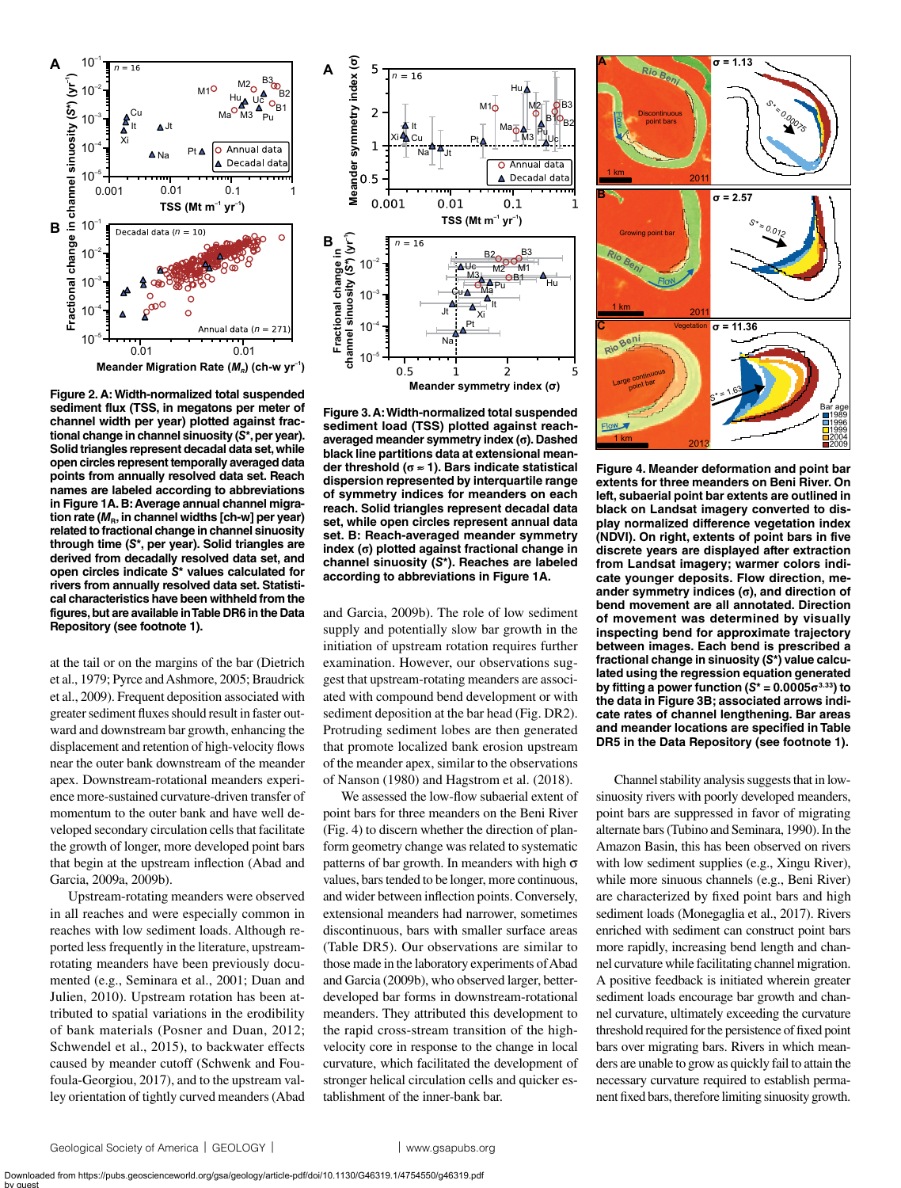

**Figure 2. A: Width-normalized total suspended sediment flux (TSS, in megatons per meter of channel width per year) plotted against fractional change in channel sinuosity (***S***\*, per year). Solid triangles represent decadal data set, while open circles represent temporally averaged data points from annually resolved data set. Reach names are labeled according to abbreviations in Figure 1A. B: Average annual channel migra**tion rate ( $M<sub>B</sub>$ , in channel widths [ch-w] per year) **related to fractional change in channel sinuosity through time (***S***\*, per year). Solid triangles are derived from decadally resolved data set, and open circles indicate** *S***\* values calculated for rivers from annually resolved data set. Statistical characteristics have been withheld from the figures, but are available in Table DR6 in the Data Repository (see footnote 1).**

at the tail or on the margins of the bar (Dietrich et al., 1979; Pyrce and Ashmore, 2005; Braudrick et al., 2009). Frequent deposition associated with greater sediment fluxes should result in faster outward and downstream bar growth, enhancing the displacement and retention of high-velocity flows near the outer bank downstream of the meander apex. Downstream-rotational meanders experience more-sustained curvature-driven transfer of momentum to the outer bank and have well developed secondary circulation cells that facilitate the growth of longer, more developed point bars that begin at the upstream inflection (Abad and Garcia, 2009a, 2009b).

Upstream-rotating meanders were observed in all reaches and were especially common in reaches with low sediment loads. Although reported less frequently in the literature, upstreamrotating meanders have been previously documented (e.g., Seminara et al., 2001; Duan and Julien, 2010). Upstream rotation has been attributed to spatial variations in the erodibility of bank materials (Posner and Duan, 2012; Schwendel et al., 2015), to backwater effects caused by meander cutoff (Schwenk and Foufoula-Georgiou, 2017), and to the upstream valley orientation of tightly curved meanders (Abad



**Figure 3. A: Width-normalized total suspended sediment load (TSS) plotted against reachaveraged meander symmetry index (σ). Dashed black line partitions data at extensional meander threshold (σ** ≈ **1). Bars indicate statistical dispersion represented by interquartile range of symmetry indices for meanders on each reach. Solid triangles represent decadal data set, while open circles represent annual data set. B: Reach-averaged meander symmetry index (σ) plotted against fractional change in channel sinuosity (***S***\*). Reaches are labeled according to abbreviations in Figure 1A.**

and Garcia, 2009b). The role of low sediment supply and potentially slow bar growth in the initiation of upstream rotation requires further examination. However, our observations suggest that upstream-rotating meanders are associated with compound bend development or with sediment deposition at the bar head (Fig. DR2). Protruding sediment lobes are then generated that promote localized bank erosion upstream of the meander apex, similar to the observations of Nanson (1980) and Hagstrom et al. (2018).

We assessed the low-flow subaerial extent of point bars for three meanders on the Beni River (Fig. 4) to discern whether the direction of planform geometry change was related to systematic patterns of bar growth. In meanders with high  $\sigma$ values, bars tended to be longer, more continuous, and wider between inflection points. Conversely, extensional meanders had narrower, sometimes discontinuous, bars with smaller surface areas (Table DR5). Our observations are similar to those made in the laboratory experiments of Abad and Garcia (2009b), who observed larger, betterdeveloped bar forms in downstream-rotational meanders. They attributed this development to the rapid cross-stream transition of the highvelocity core in response to the change in local curvature, which facilitated the development of stronger helical circulation cells and quicker establishment of the inner-bank bar.



**Figure 4. Meander deformation and point bar extents for three meanders on Beni River. On left, subaerial point bar extents are outlined in black on Landsat imagery converted to display normalized difference vegetation index (NDVI). On right, extents of point bars in five discrete years are displayed after extraction from Landsat imagery; warmer colors indicate younger deposits. Flow direction, meander symmetry indices (σ), and direction of bend movement are all annotated. Direction of movement was determined by visually inspecting bend for approximate trajectory between images. Each bend is prescribed a fractional change in sinuosity (***S***\*) value calculated using the regression equation generated by fitting a power function**  $(S^* = 0.0005\sigma^{3.33})$  **to the data in Figure 3B; associated arrows indicate rates of channel lengthening. Bar areas and meander locations are specified in Table DR5 in the Data Repository (see footnote 1).**

Channel stability analysis suggests that in lowsinuosity rivers with poorly developed meanders, point bars are suppressed in favor of migrating alternate bars (Tubino and Seminara, 1990). In the Amazon Basin, this has been observed on rivers with low sediment supplies (e.g., Xingu River), while more sinuous channels (e.g., Beni River) are characterized by fixed point bars and high sediment loads (Monegaglia et al., 2017). Rivers enriched with sediment can construct point bars more rapidly, increasing bend length and channel curvature while facilitating channel migration. A positive feedback is initiated wherein greater sediment loads encourage bar growth and channel curvature, ultimately exceeding the curvature threshold required for the persistence of fixed point bars over migrating bars. Rivers in which meanders are unable to grow as quickly fail to attain the necessary curvature required to establish permanent fixed bars, therefore limiting sinuosity growth.